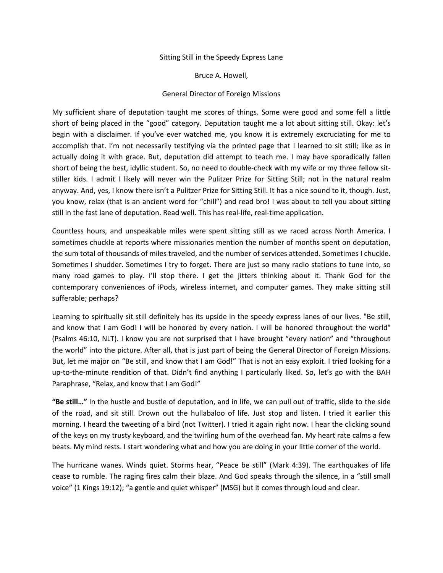## Sitting Still in the Speedy Express Lane

Bruce A. Howell,

## General Director of Foreign Missions

My sufficient share of deputation taught me scores of things. Some were good and some fell a little short of being placed in the "good" category. Deputation taught me a lot about sitting still. Okay: let's begin with a disclaimer. If you've ever watched me, you know it is extremely excruciating for me to accomplish that. I'm not necessarily testifying via the printed page that I learned to sit still; like as in actually doing it with grace. But, deputation did attempt to teach me. I may have sporadically fallen short of being the best, idyllic student. So, no need to double-check with my wife or my three fellow sitstiller kids. I admit I likely will never win the Pulitzer Prize for Sitting Still; not in the natural realm anyway. And, yes, I know there isn't a Pulitzer Prize for Sitting Still. It has a nice sound to it, though. Just, you know, relax (that is an ancient word for "chill") and read bro! I was about to tell you about sitting still in the fast lane of deputation. Read well. This has real-life, real-time application.

Countless hours, and unspeakable miles were spent sitting still as we raced across North America. I sometimes chuckle at reports where missionaries mention the number of months spent on deputation, the sum total of thousands of miles traveled, and the number of services attended. Sometimes I chuckle. Sometimes I shudder. Sometimes I try to forget. There are just so many radio stations to tune into, so many road games to play. I'll stop there. I get the jitters thinking about it. Thank God for the contemporary conveniences of iPods, wireless internet, and computer games. They make sitting still sufferable; perhaps?

Learning to spiritually sit still definitely has its upside in the speedy express lanes of our lives. "Be still, and know that I am God! I will be honored by every nation. I will be honored throughout the world" (Psalms 46:10, NLT). I know you are not surprised that I have brought "every nation" and "throughout the world" into the picture. After all, that is just part of being the General Director of Foreign Missions. But, let me major on "Be still, and know that I am God!" That is not an easy exploit. I tried looking for a up-to-the-minute rendition of that. Didn't find anything I particularly liked. So, let's go with the BAH Paraphrase, "Relax, and know that I am God!"

**"Be still…"** In the hustle and bustle of deputation, and in life, we can pull out of traffic, slide to the side of the road, and sit still. Drown out the hullabaloo of life. Just stop and listen. I tried it earlier this morning. I heard the tweeting of a bird (not Twitter). I tried it again right now. I hear the clicking sound of the keys on my trusty keyboard, and the twirling hum of the overhead fan. My heart rate calms a few beats. My mind rests. I start wondering what and how you are doing in your little corner of the world.

The hurricane wanes. Winds quiet. Storms hear, "Peace be still" (Mark 4:39). The earthquakes of life cease to rumble. The raging fires calm their blaze. And God speaks through the silence, in a "still small voice" (1 Kings 19:12); "a gentle and quiet whisper" (MSG) but it comes through loud and clear.